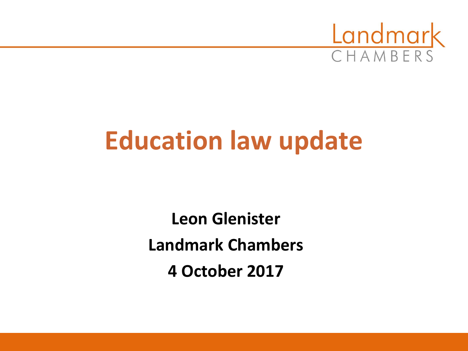

# **Education law update**

**Leon Glenister Landmark Chambers 4 October 2017**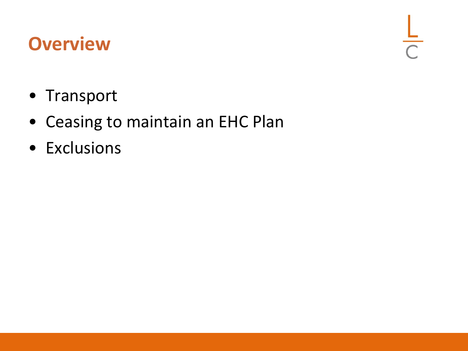#### **Overview**

 $\frac{L}{C}$ 

- Transport
- Ceasing to maintain an EHC Plan
- Exclusions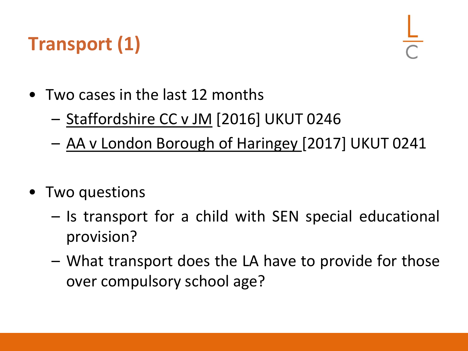# **Transport (1)**

- Two cases in the last 12 months
	- Staffordshire CC v JM [2016] UKUT 0246
	- AA v London Borough of Haringey [2017] UKUT 0241
- Two questions
	- Is transport for a child with SEN special educational provision?
	- What transport does the LA have to provide for those over compulsory school age?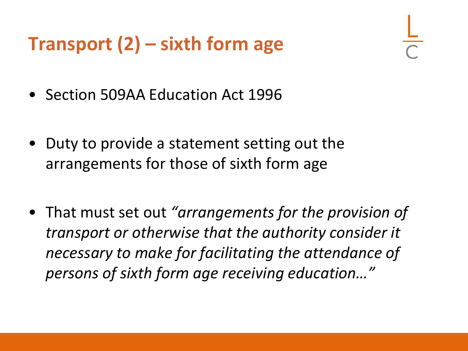#### **Transport (2) – sixth form age**

- Section 509AA Education Act 1996
- Duty to provide a statement setting out the arrangements for those of sixth form age
- That must set out *"arrangements for the provision of transport or otherwise that the authority consider it necessary to make for facilitating the attendance of persons of sixth form age receiving education…"*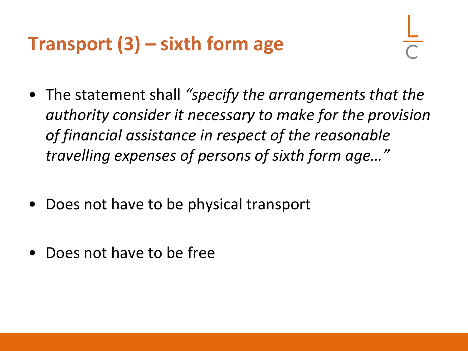## **Transport (3) – sixth form age**

- The statement shall *"specify the arrangements that the authority consider it necessary to make for the provision of financial assistance in respect of the reasonable travelling expenses of persons of sixth form age…"*
- Does not have to be physical transport
- Does not have to be free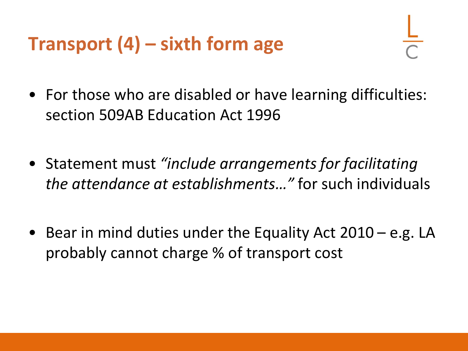#### **Transport (4) – sixth form age**

- For those who are disabled or have learning difficulties: section 509AB Education Act 1996
- Statement must *"include arrangements for facilitating the attendance at establishments…"* for such individuals
- Bear in mind duties under the Equality Act 2010 e.g. LA probably cannot charge % of transport cost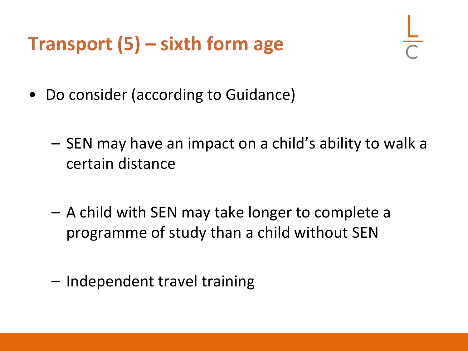#### **Transport (5) – sixth form age**

- Do consider (according to Guidance)
	- SEN may have an impact on a child's ability to walk a certain distance
	- A child with SEN may take longer to complete a programme of study than a child without SEN
	- Independent travel training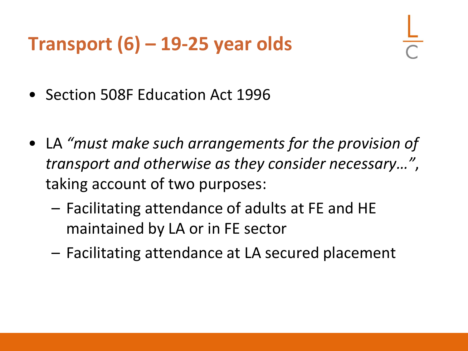#### **Transport (6) – 19-25 year olds**

- Section 508F Education Act 1996
- LA *"must make such arrangements for the provision of transport and otherwise as they consider necessary…"*, taking account of two purposes:
	- Facilitating attendance of adults at FE and HE maintained by LA or in FE sector
	- Facilitating attendance at LA secured placement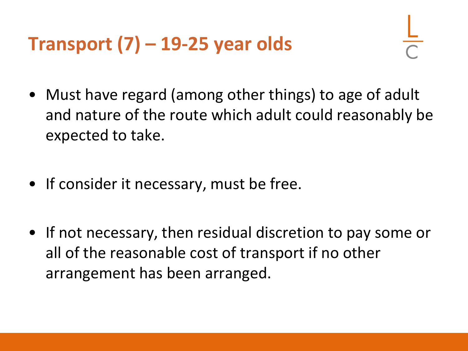## **Transport (7) – 19-25 year olds**

- Must have regard (among other things) to age of adult and nature of the route which adult could reasonably be expected to take.
- If consider it necessary, must be free.
- If not necessary, then residual discretion to pay some or all of the reasonable cost of transport if no other arrangement has been arranged.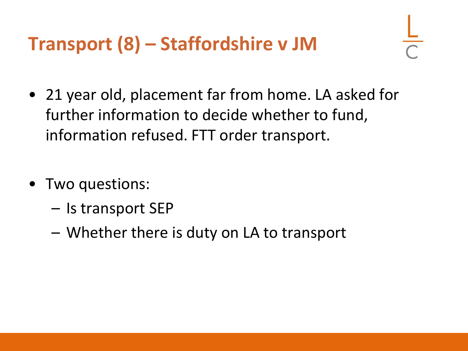# **Transport (8) – Staffordshire v JM**

- 21 year old, placement far from home. LA asked for further information to decide whether to fund, information refused. FTT order transport.
- Two questions:
	- Is transport SEP
	- Whether there is duty on LA to transport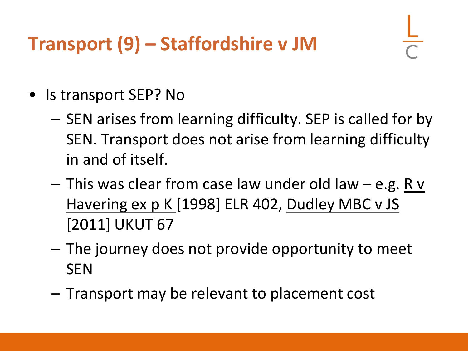# **Transport (9) – Staffordshire v JM**

- Is transport SEP? No
	- SEN arises from learning difficulty. SEP is called for by SEN. Transport does not arise from learning difficulty in and of itself.
	- This was clear from case law under old law e.g. R v Havering ex p K [1998] ELR 402, Dudley MBC v JS [2011] UKUT 67
	- The journey does not provide opportunity to meet **SEN**
	- Transport may be relevant to placement cost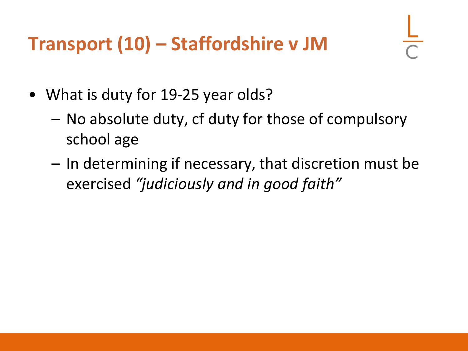## **Transport (10) – Staffordshire v JM**

- What is duty for 19-25 year olds?
	- No absolute duty, cf duty for those of compulsory school age
	- In determining if necessary, that discretion must be exercised *"judiciously and in good faith"*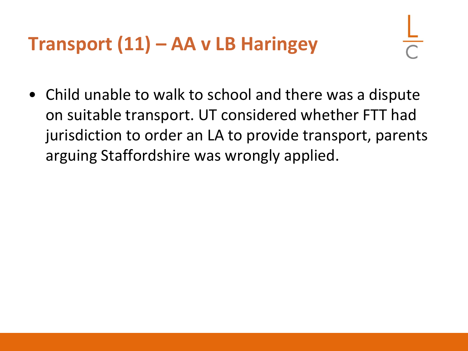## **Transport (11) – AA v LB Haringey**

• Child unable to walk to school and there was a dispute on suitable transport. UT considered whether FTT had jurisdiction to order an LA to provide transport, parents arguing Staffordshire was wrongly applied.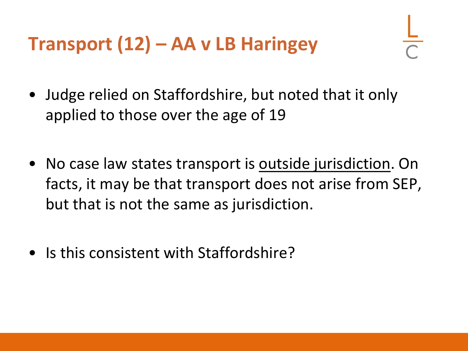#### **Transport (12) – AA v LB Haringey**

- Judge relied on Staffordshire, but noted that it only applied to those over the age of 19
- No case law states transport is outside jurisdiction. On facts, it may be that transport does not arise from SEP, but that is not the same as jurisdiction.
- Is this consistent with Staffordshire?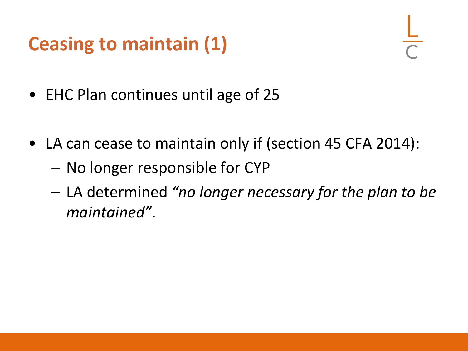## **Ceasing to maintain (1)**

- EHC Plan continues until age of 25
- LA can cease to maintain only if (section 45 CFA 2014):
	- No longer responsible for CYP
	- LA determined *"no longer necessary for the plan to be maintained"*.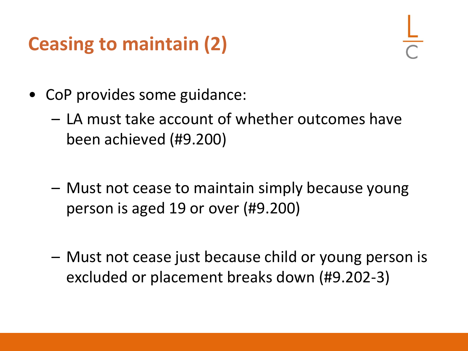#### **Ceasing to maintain (2)**

- CoP provides some guidance:
	- LA must take account of whether outcomes have been achieved (#9.200)
	- Must not cease to maintain simply because young person is aged 19 or over (#9.200)
	- Must not cease just because child or young person is excluded or placement breaks down (#9.202-3)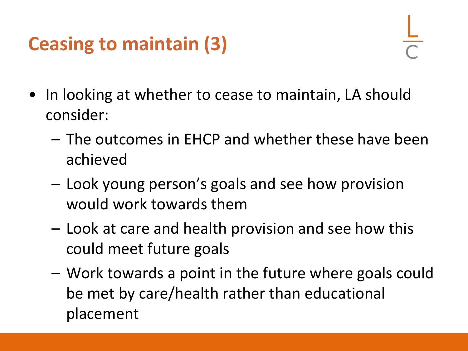## **Ceasing to maintain (3)**

- In looking at whether to cease to maintain, LA should consider:
	- The outcomes in EHCP and whether these have been achieved
	- Look young person's goals and see how provision would work towards them
	- Look at care and health provision and see how this could meet future goals
	- Work towards a point in the future where goals could be met by care/health rather than educational placement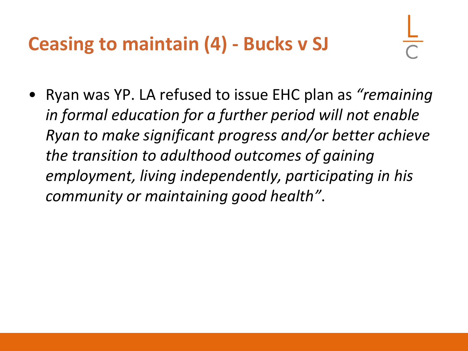#### **Ceasing to maintain (4) - Bucks v SJ**

• Ryan was YP. LA refused to issue EHC plan as *"remaining in formal education for a further period will not enable Ryan to make significant progress and/or better achieve the transition to adulthood outcomes of gaining employment, living independently, participating in his community or maintaining good health"*.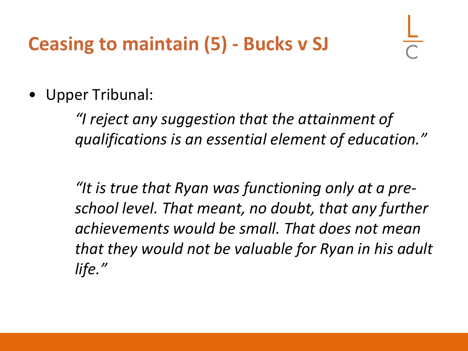#### **Ceasing to maintain (5) - Bucks v SJ**

• Upper Tribunal:

*"I reject any suggestion that the attainment of qualifications is an essential element of education."*

*"It is true that Ryan was functioning only at a preschool level. That meant, no doubt, that any further achievements would be small. That does not mean that they would not be valuable for Ryan in his adult life."*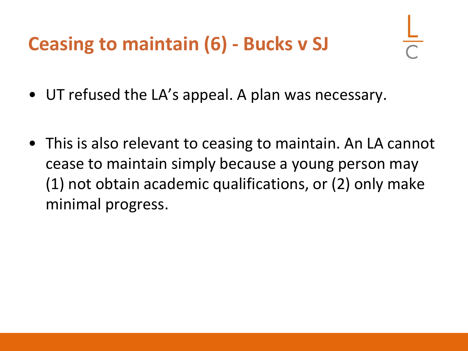#### **Ceasing to maintain (6) - Bucks v SJ**

- UT refused the LA's appeal. A plan was necessary.
- This is also relevant to ceasing to maintain. An LA cannot cease to maintain simply because a young person may (1) not obtain academic qualifications, or (2) only make minimal progress.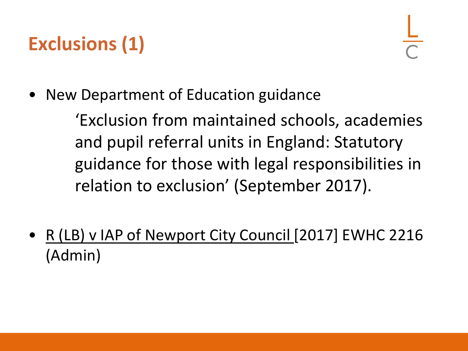# **Exclusions (1)**

• New Department of Education guidance

'Exclusion from maintained schools, academies and pupil referral units in England: Statutory guidance for those with legal responsibilities in relation to exclusion' (September 2017).

• R (LB) v IAP of Newport City Council [2017] EWHC 2216 (Admin)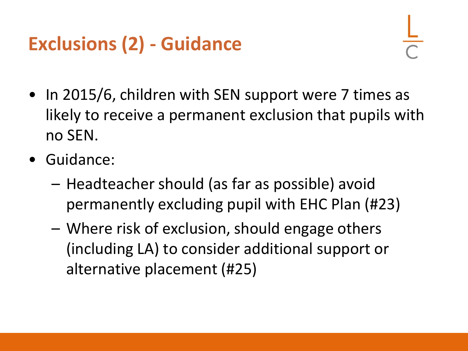# **Exclusions (2) - Guidance**

- In 2015/6, children with SEN support were 7 times as likely to receive a permanent exclusion that pupils with no SEN.
- Guidance:
	- Headteacher should (as far as possible) avoid permanently excluding pupil with EHC Plan (#23)
	- Where risk of exclusion, should engage others (including LA) to consider additional support or alternative placement (#25)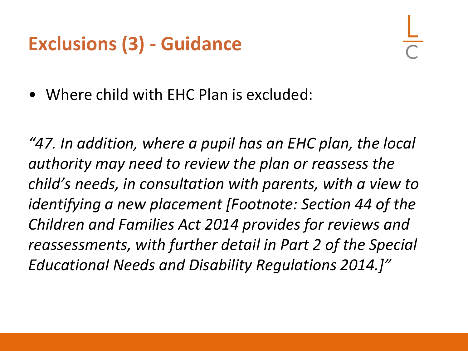#### **Exclusions (3) - Guidance**

• Where child with EHC Plan is excluded:

*"47. In addition, where a pupil has an EHC plan, the local authority may need to review the plan or reassess the child's needs, in consultation with parents, with a view to identifying a new placement [Footnote: Section 44 of the Children and Families Act 2014 provides for reviews and reassessments, with further detail in Part 2 of the Special Educational Needs and Disability Regulations 2014.]"*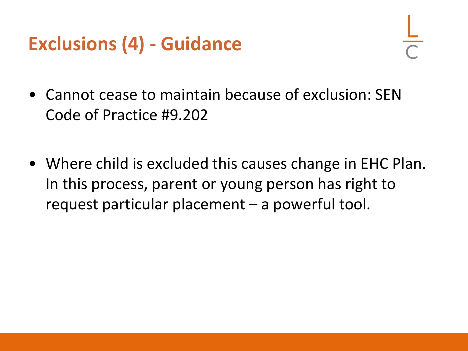#### **Exclusions (4) - Guidance**

- Cannot cease to maintain because of exclusion: SEN Code of Practice #9.202
- Where child is excluded this causes change in EHC Plan. In this process, parent or young person has right to request particular placement – a powerful tool.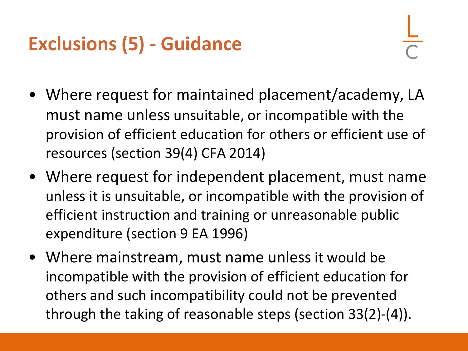# **Exclusions (5) - Guidance**

- Where request for maintained placement/academy, LA must name unless unsuitable, or incompatible with the provision of efficient education for others or efficient use of resources (section 39(4) CFA 2014)
- Where request for independent placement, must name unless it is unsuitable, or incompatible with the provision of efficient instruction and training or unreasonable public expenditure (section 9 EA 1996)
- Where mainstream, must name unless it would be incompatible with the provision of efficient education for others and such incompatibility could not be prevented through the taking of reasonable steps (section 33(2)-(4)).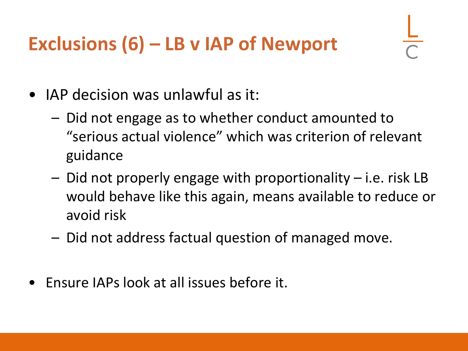# **Exclusions (6) – LB v IAP of Newport**

- IAP decision was unlawful as it:
	- Did not engage as to whether conduct amounted to "serious actual violence" which was criterion of relevant guidance
	- Did not properly engage with proportionality i.e. risk LB would behave like this again, means available to reduce or avoid risk
	- Did not address factual question of managed move.
- Ensure IAPs look at all issues before it.